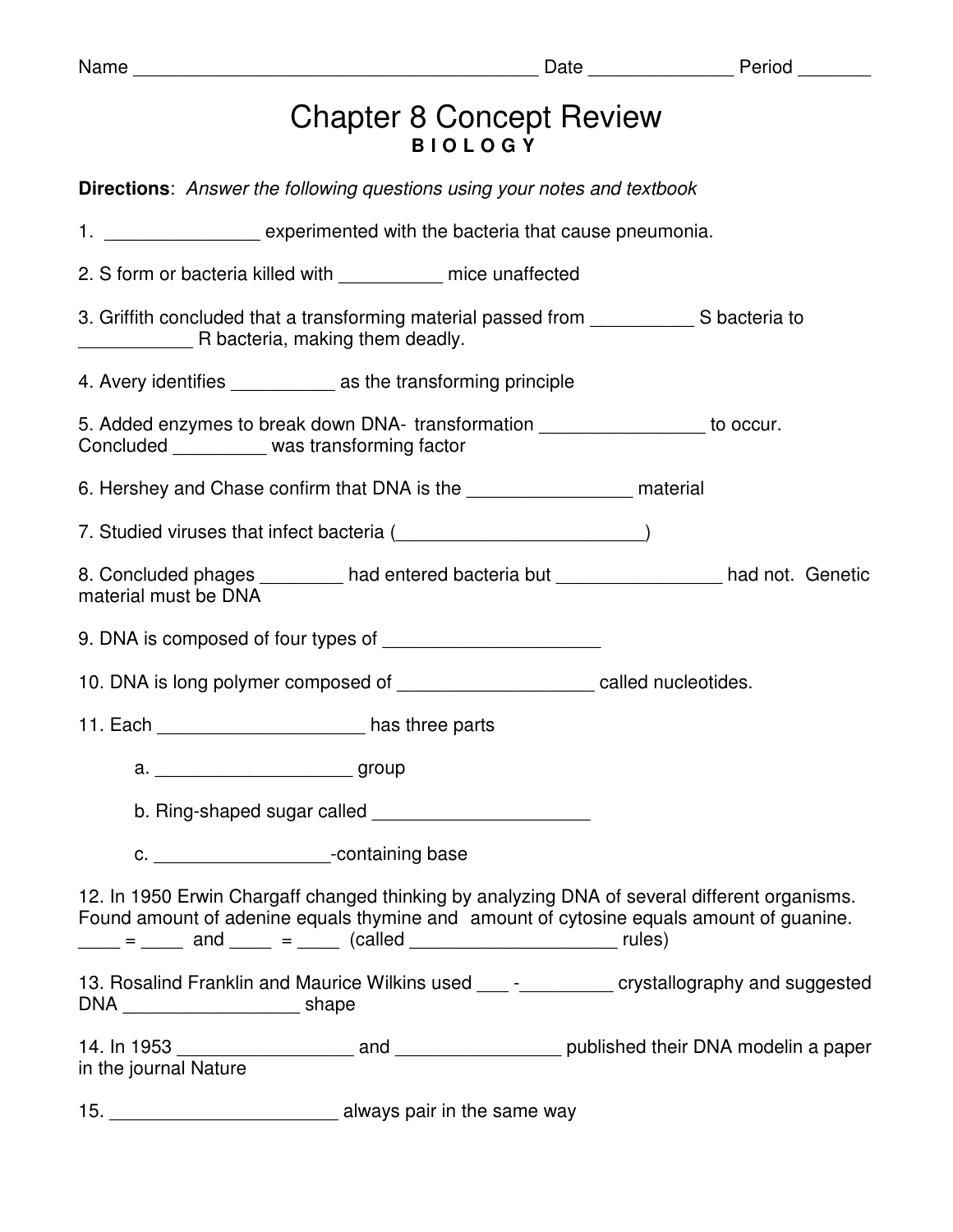| V. | am |  |
|----|----|--|
|    |    |  |

|                       |                                                                                                                                                                                                                                      | <b>Chapter 8 Concept Review</b><br><b>BIOLOGY</b> |                                                                                                                                                                                         |
|-----------------------|--------------------------------------------------------------------------------------------------------------------------------------------------------------------------------------------------------------------------------------|---------------------------------------------------|-----------------------------------------------------------------------------------------------------------------------------------------------------------------------------------------|
|                       | <b>Directions:</b> Answer the following questions using your notes and textbook                                                                                                                                                      |                                                   |                                                                                                                                                                                         |
|                       | 1. _____________________ experimented with the bacteria that cause pneumonia.                                                                                                                                                        |                                                   |                                                                                                                                                                                         |
|                       | 2. S form or bacteria killed with ___________ mice unaffected                                                                                                                                                                        |                                                   |                                                                                                                                                                                         |
|                       | R bacteria, making them deadly.                                                                                                                                                                                                      |                                                   | 3. Griffith concluded that a transforming material passed from Same Supersia to                                                                                                         |
|                       | 4. Avery identifies ______________ as the transforming principle                                                                                                                                                                     |                                                   |                                                                                                                                                                                         |
|                       | Concluded _________ was transforming factor                                                                                                                                                                                          |                                                   | 5. Added enzymes to break down DNA- transformation __________________ to occur.                                                                                                         |
|                       |                                                                                                                                                                                                                                      |                                                   |                                                                                                                                                                                         |
|                       | 7. Studied viruses that infect bacteria ( <b>Common Contract Common Common Common Common Common Common Common Common Common Common Common Common Common Common Common Common Common Common Common Common Common Common Common Co</b> |                                                   |                                                                                                                                                                                         |
| material must be DNA  |                                                                                                                                                                                                                                      |                                                   | 8. Concluded phages ________ had entered bacteria but ________________ had not. Genetic                                                                                                 |
|                       |                                                                                                                                                                                                                                      |                                                   |                                                                                                                                                                                         |
|                       |                                                                                                                                                                                                                                      |                                                   | 10. DNA is long polymer composed of __________________________ called nucleotides.                                                                                                      |
|                       | 11. Each ______________________________ has three parts                                                                                                                                                                              |                                                   |                                                                                                                                                                                         |
|                       | a. __________________________group                                                                                                                                                                                                   |                                                   |                                                                                                                                                                                         |
|                       | b. Ring-shaped sugar called ____________________________                                                                                                                                                                             |                                                   |                                                                                                                                                                                         |
|                       | c. ___________________________-containing base                                                                                                                                                                                       |                                                   |                                                                                                                                                                                         |
|                       | $\frac{1}{\sqrt{1-\frac{1}{2}}\cos\theta}$ and $\frac{1}{\cos\theta}$ = $\frac{1}{\cos\theta}$ (called $\frac{1}{\cos\theta}$ = $\frac{1}{\cos\theta}$ rules)                                                                        |                                                   | 12. In 1950 Erwin Chargaff changed thinking by analyzing DNA of several different organisms.<br>Found amount of adenine equals thymine and amount of cytosine equals amount of guanine. |
|                       |                                                                                                                                                                                                                                      |                                                   | 13. Rosalind Franklin and Maurice Wilkins used ____ -__________ crystallography and suggested                                                                                           |
| in the journal Nature |                                                                                                                                                                                                                                      |                                                   |                                                                                                                                                                                         |
| 15.                   | always pair in the same way always pair in the same way                                                                                                                                                                              |                                                   |                                                                                                                                                                                         |